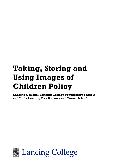# **Taking, Storing and Using Images of Children Policy**

**Lancing College, Lancing College Preparatory Schools and Little Lancing Day Nursery and Forest School**

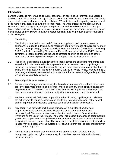# **Introduction**

Lancing College is very proud of its pupils' academic, artistic, musical, dramatic and sporting achievements. We celebrate our pupils' diverse talents and we welcome parents and families to our musical concerts, drama productions, Art and DT exhibitions and to sporting events, as well as to more formal occasions during the school year. The walls of Houses are decorated with House and team photographs, and photographs of trips and expeditions in which our pupils have participated. We make use of digital display screens inside the school. Our website, social media pages and the Parent Portal are updated regularly, and we produce a termly magazine called *The Quad*.

# **1 This Policy**

- 1.1 This Policy is intended to provide information to pupils and their parents, carers or guardians (referred to in this policy as "parents") about how images of pupils are normally used by Lancing College, its prep schools at Hove and Worthing ("the school"), including EYFS and Little Lancing Day Nursery and Forest School, also including EYFS. It also covers the school's approach to the use of cameras and filming equipment at school events and on school premises by parents and pupils themselves, and the media.
- 1.2 This policy is applicable in addition to the school's terms and conditions for parents, and any other information the school may provide about a particular use of pupil images, including e.g. signage about the use of CCTV; and more general information about use of pupils' personal data, e.g. the school's publicly available Privacy Notice. Images of pupils in a safeguarding context are dealt with under the school's relevant safeguarding policies which are also publicly available.

#### **2 General points to be aware of**

- 2.1 Certain uses of images are necessary for the ordinary running of the school; other uses are in the legitimate interests of the school and its community and unlikely to cause any negative impact on children. The school is entitled lawfully to process such images and take decisions about how to use them, subject to any reasonable objections raised.
- 2.2 We hope parents will feel able to support the school in using pupil images to celebrate the achievements of pupils, sporting and academic; to promote the work of the school; and for important administrative purposes such as identification and security.
- 2.3 Any parent who wishes to limit the use of images of a pupil for whom they are responsible should contact the Head Master and ensure that their request is acknowledged. The parent should ensure that the pupil is aware of any stipulated limitations on the use of their image. The School will respect the wishes of parents/carers (and indeed pupils themselves) wherever reasonably possible, and in accordance with this policy. However, parents should be aware of the fact that certain uses of their child's images may be necessary or unavoidable, for example if they are included incidentally in CCTV or a photograph.
- 2.4 Parents should be aware that, from around the age of 12 and upwards, the law recognises pupils' own rights to have a say in how their personal information is used, including images.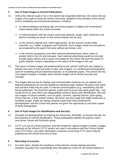# **3 Use of Pupil Images in School Publications**

- 3.1 Unless the relevant pupil or his or her parent has requested otherwise, the school will use images of its pupils to keep the school community updated on the activities of the school, and for marketing and promotional purposes, including:
	- on internal displays (including clips of moving images) on digital and conventional notice boards within the school premises;
	- in communications with the school community (parents, pupils, staff, Governors and alumni) including by email, on the school intranet and by post;
	- on the school's website and, where appropriate, via the school's social media channels, e.g. Twitter, Instagram and Facebook. Such images would not normally be accompanied by the pupil's full name without permission; and
	- in the school's prospectus, and other external advertisements, either online or printed, both in the UK and overseas. Such external advertising would not normally include pupil's names and in some circumstances the school will seek the parent or pupil's specific consent, depending on the nature of the image or the use.
- 3.2 The source of these images will predominantly be the school's staff (who are subject to policies and rules in how and when to take such images), or a professional photographer used for marketing and promotional purposes, or occasionally pupils. The school will only use images of pupils in suitable dress and the images will be stored securely and centrally.
- 3.3 The images that we use for display and communication purposes on our website and external publications do not fully identify an individual pupil; instead, the pupil's first name and surname initial may be used. In internal communications (e.g. newsletters) and the termly publication *The Quad* (for parents, pupils and OLs) we may name pupils fully – but would not do so were there any safeguarding concerns about such identification. We only use images of school activities, such as plays, concerts, sporting fixtures, prize-giving, school trips etc. in their proper context. We never use any image that might embarrass or humiliate a pupil. Pupils are always properly supervised when professional photographers visit the school and parents are given the opportunity to purchase copies of these photographs.

### **4 Use of Pupil Images for Identification and Security**

- 4.1 All pupils are photographed on entering the school and, thereafter, at annual intervals, for the purposes of internal identification. These photographs identify the pupil by name, year group, House and form/tutor group.
- 4.2 CCTV is in use on school premises, and will sometimes capture images of pupils. Images captured on the School's CCTV system are used in accordance with the Privacy Notice and CCTV Policy / any other information or policies concerning CCTV which may be published by the school from time to time.

### **5 Recording of Lessons**

5.1 At a time when, despite the excellence of the school's remote learning provision, students' education has undoubtedly been disrupted by Covid-19, the school believes it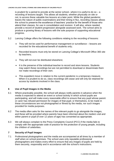is prudent for a period to provide at the senior school– where it is useful to do so  $-$  a recording of lessons taught. This allows all students, whether physically on site or not, to access these valuable live lessons at a later point. While the global pandemic leaves the nature of public examinations and their timing in flux, recording classes allows the school to preserve the excellence of teachers' practice for the benefit of those who attend their classes, for use in consolidation and revision. It will also, where needed, provide a record of student progression alongside assessed work. The school aims to produce a growing library of lessons with the sole purpose of supporting educational progress.

- 5.2 Lancing College offers the following conditions relating to the recording of lessons:
	- They will not be used for performance management or surveillance lessons are recorded for the educational benefit of students only;
	- Recorded lessons must only be stored on Lancing College's Microsoft Office 365 site by teachers;
	- They will not ever be distributed elsewhere;
	- It is the preserve of the individual teacher to record and store lessons. Students may watch these recordings but are not permitted to download or disseminate them nor make recordings of their own;
	- This expedient move in relation to the current pandemic is a temporary measure. When it is prudent to do so, class recordings will cease and will only be retained for access by students involved in the class.

#### **6 Use of Pupil Images in the Media**

- 6.1 Where practicably possible, the school will always notify parents in advance when the media is expected to attend an event or school activity in which school pupils are participating, and will make every reasonable effort to ensure that any pupil whose parent or carer has refused permission for images of that pupil, or themselves, to be made in these circumstances are not photographed or filmed by the media, nor such images provided for media purposes.
- 6.2 The media often asks for the names of the relevant pupils to go alongside the images, and these will be provided where parents have been informed about the media's visit and either parent or pupil (if over 12 years of age) has consented as appropriate.
- 6.3 We will always complain to the Press Complaints Council (PCC) if the media fails to comply with the appropriate code of practice for the protection of young people, including the children of celebrities.

### **7 Security of Pupil Images**

7.1 Professional photographers and the media are accompanied at all times by a member of staff when on school premises. The school uses only reputable professional photographers and makes every effort to ensure that any images of pupils are held by them securely, responsibly and in accordance with the school's instructions.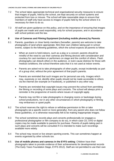- 7.2 The school takes appropriate technical and organisational security measures to ensure that images of pupils, held by the school, are kept securely on school systems and protected from loss or misuse. The school will take reasonable steps to ensure that members of staff only have access to images of pupils held by the school where it is necessary for them to do so.
- 7.3 All staff are given guidance on this policy, and on the importance of ensuring that images of pupils are made and used responsibly, only for school purposes, and in accordance with school policies and the law.

# **8 Use of Cameras and Filming Equipment (including mobile phones) by Parents**

- 8.1 Parents, guardians or close family members (hereafter, parents) are welcome to take photographs of (and where appropriate, film) their own children taking part in school events, subject to the following guidelines, which the school expects all parents to follow:
	- When an event is held indoors, such as a play or a concert, parents should be mindful of the need to use their cameras and filming devices with consideration and courtesy for cast members or performers on stage and the comfort of others. Flash photography can disturb others in the audience, or even cause distress for those with medical conditions; the school therefore asks that it is not used at indoor events.
	- Parents are asked not to take photographs of other pupils, except incidentally as part of a group shot, without the prior agreement of that pupil's parents.
	- Parents are reminded that such images are for personal use only. Images which may, expressly or not, identify other pupils should not be made accessible to others via the internet (for example on Facebook), or published in any other way.
	- Parents are reminded that copyright issues may prevent the school from permitting the filming or recording of some plays and concerts. The school will always print a reminder in the programme of events where issues of copyright apply.
	- Parents may not film or take photographs in changing rooms or backstage during school productions, nor in any other circumstances in which photography or filming may embarrass or upset pupils.
- 8.2 The school reserves the right to refuse or withdraw permission to film or take photographs (at a specific event or more generally), from any parent who does not follow these guidelines, or is otherwise reasonably felt to be making inappropriate images.
- 8.3 The school sometimes records plays and concerts professionally (or engages a professional photographer or film company to do so), in which case CD, DVD or digital copies may be made available to parents for purchase. Parents of pupils taking part in such plays and concerts will be consulted if it is intended to make such recordings available more widely.
- 8.4 The school may record or live stream sporting events. This can sometimes happen at events organised by other schools too.
- 8.5 **Use of mobile phones and cameras in the EYFS setting**: Children have their photographs taken to provide evidence of their achievements for developmental records (The Early Years Foundation Stage, EYFS 2012). Staff are not permitted to use their own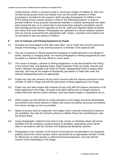mobile phones, iPads or cameras to take or record any images of children for their own records during session times but instead must use the school cameras or iPads purchased or provided for the purpose. Staff may take photographs of children in the EYFS setting using a school camera or iPad for the following purposes: in order to provide evidence of any practical educational activities or outdoor learning that has taken place during the day, or on school trips to document their outing for newsletters and for their learning journey and for inspection by the ISI. Staff must regularly delete all photos and videos from such devices. Photographs are uploaded to a secure software systems and can only be accessed by the appropriate staff. Visitors, volunteers and students are not permitted to take any photos of children.

# **9 Use of Cameras and Filming Equipment by Pupils**

- 9.1 All pupils are encouraged to look after each other, and to report any concerns about the misuse of technology, or any worrying issues to a member of the pastoral staff.
- 9.2 The use of cameras or filming equipment (including on mobile phones) is not allowed in toilets, washing or changing areas, nor should photography or filming equipment be used by pupils in a manner that may offend or cause upset.
- 9.3 The misuse of images, cameras or filming equipment in a way that breaches this Policy, or the School rules, Anti-Bullying Policy, Data Protection Policy for Pupils, Parents and Carers, Network Acceptable Use Policy for Pupils, Safeguarding Policy is always taken seriously, and may be the subject of disciplinary procedures or dealt with under the relevant safeguarding policy as appropriate.
- 9.4 Pupils may only use cameras (of any sort) in lessons with the express permission of the member of staff in charge and with the permission of those appearing in the image.
- 9.5 Pupils may only take images with cameras (of any sort) with the express permission of all those appearing in the image. All pupils must allow staff access to images stored on mobile electronic devices and/or cameras, and must delete images if requested to do so.
- 9.6 Where pupils use their phones to create portraiture such images should be downloaded and stored on the school network in folders that cannot be publicly accessed and deleted from phone storage as soon as possible.
- 9.7 Rights to privacy must be respected, and images which could be construed as indecent are prohibited. See also the School's policies on Mobile Phone Use and Behaviour and the School Rules.
- 9.8 Using photographic material of any kind to bully, harass or intimidate others will not be tolerated and will constitute a serious breach of discipline. Appropriate action will be taken in accordance with the School's Anti-Bullying and Behaviour policies.
- 9.9 Photographs of any member of the School community are not permitted to be displayed publicly around the school campus unless sanctioned by an appropriate member of staff for official use on notice boards or authorised brochures/posters, and only with the consent of the individual(s) in the image.